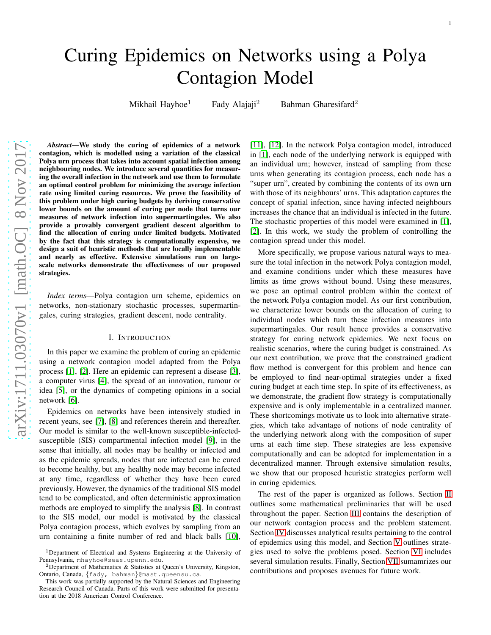Mikhail Hayhoe<sup>1</sup> Fady Alajaji<sup>2</sup> Bahman Gharesifard<sup>2</sup>

*Abstract*—We study the curing of epidemics of a network contagion, which is modelled using a variation of the classical Polya urn process that takes into account spatial infection among neighbouring nodes. We introduce several quantities for measuring the overall infection in the network and use them to formulate an optimal control problem for minimizing the average infection rate using limited curing resources. We prove the feasibility of this problem under high curing budgets by deriving conservative lower bounds on the amount of curing per node that turns our measures of network infection into supermartingales. We also provide a provably convergent gradient descent algorithm to find the allocation of curing under limited budgets. Motivated by the fact that this strategy is computationally expensive, we design a suit of heuristic methods that are locally implementable and nearly as effective. Extensive simulations run on largescale networks demonstrate the effectiveness of our proposed strategies.

*Index terms*—Polya contagion urn scheme, epidemics on networks, non-stationary stochastic processes, supermartingales, curing strategies, gradient descent, node centrality.

## I. INTRODUCTION

In this paper we examine the problem of curing an epidemic using a network contagion model adapted from the Polya process [\[1\]](#page-11-0), [\[2\]](#page-11-1). Here an epidemic can represent a disease [\[3\]](#page-11-2), a computer virus [\[4\]](#page-11-3), the spread of an innovation, rumour or idea [\[5\]](#page-11-4), or the dynamics of competing opinions in a social network [\[6\]](#page-11-5).

Epidemics on networks have been intensively studied in recent years, see [\[7\]](#page-11-6), [\[8\]](#page-11-7) and references therein and thereafter. Our model is similar to the well-known susceptible-infectedsusceptible (SIS) compartmental infection model [\[9\]](#page-11-8), in the sense that initially, all nodes may be healthy or infected and as the epidemic spreads, nodes that are infected can be cured to become healthy, but any healthy node may become infected at any time, regardless of whether they have been cured previously. However, the dynamics of the traditional SIS model tend to be complicated, and often deterministic approximation methods are employed to simplify the analysis [\[8\]](#page-11-7). In contrast to the SIS model, our model is motivated by the classical Polya contagion process, which evolves by sampling from an urn containing a finite number of red and black balls [\[10\]](#page-11-9), [\[11\]](#page-11-10), [\[12\]](#page-11-11). In the network Polya contagion model, introduced in [\[1\]](#page-11-0), each node of the underlying network is equipped with an individual urn; however, instead of sampling from these urns when generating its contagion process, each node has a "super urn", created by combining the contents of its own urn with those of its neighbours' urns. This adaptation captures the concept of spatial infection, since having infected neighbours increases the chance that an individual is infected in the future. The stochastic properties of this model were examined in [\[1\]](#page-11-0), [\[2\]](#page-11-1). In this work, we study the problem of controlling the contagion spread under this model.

More specifically, we propose various natural ways to measure the total infection in the network Polya contagion model, and examine conditions under which these measures have limits as time grows without bound. Using these measures, we pose an optimal control problem within the context of the network Polya contagion model. As our first contribution, we characterize lower bounds on the allocation of curing to individual nodes which turn these infection measures into supermartingales. Our result hence provides a conservative strategy for curing network epidemics. We next focus on realistic scenarios, where the curing budget is constrained. As our next contribution, we prove that the constrained gradient flow method is convergent for this problem and hence can be employed to find near-optimal strategies under a fixed curing budget at each time step. In spite of its effectiveness, as we demonstrate, the gradient flow strategy is computationally expensive and is only implementable in a centralized manner. These shortcomings motivate us to look into alternative strategies, which take advantage of notions of node centrality of the underlying network along with the composition of super urns at each time step. These strategies are less expensive computationally and can be adopted for implementation in a decentralized manner. Through extensive simulation results, we show that our proposed heuristic strategies perform well in curing epidemics.

The rest of the paper is organized as follows. Section [II](#page-1-0) outlines some mathematical preliminaries that will be used throughout the paper. Section [III](#page-1-1) contains the description of our network contagion process and the problem statement. Section [IV](#page-3-0) discusses analytical results pertaining to the control of epidemics using this model, and Section [V](#page-4-0) outlines strategies used to solve the problems posed. Section [VI](#page-6-0) includes several simulation results. Finally, Section [VII](#page-8-0) sumamrizes our contributions and proposes avenues for future work.

<sup>&</sup>lt;sup>1</sup>Department of Electrical and Systems Engineering at the University of Pennsylvania, mhayhoe@seas.upenn.edu.

<sup>&</sup>lt;sup>2</sup>Department of Mathematics & Statistics at Queen's University, Kingston, Ontario, Canada, {fady, bahman}@mast.queensu.ca.

This work was partially supported by the Natural Sciences and Engineering Research Council of Canada. Parts of this work were submitted for presentation at the 2018 American Control Conference.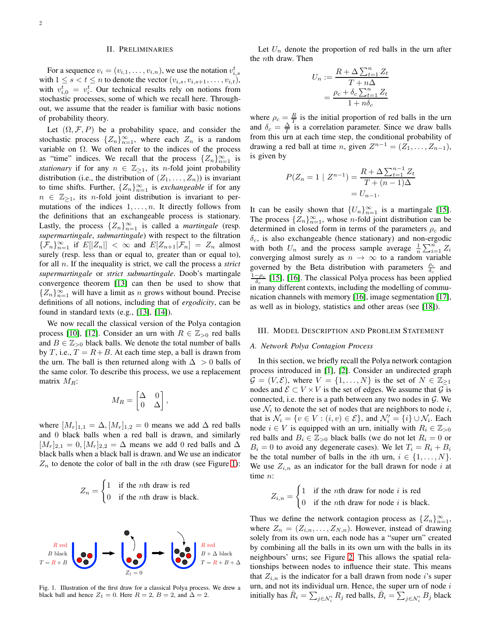# II. PRELIMINARIES

<span id="page-1-0"></span>For a sequence  $v_i = (v_{i,1}, \ldots, v_{i,n})$ , we use the notation  $v_{i,s}^t$ with  $1 \leq s < t \leq n$  to denote the vector  $(v_{i,s}, v_{i,s+1}, \ldots, v_{i,t}),$ with  $v_{i,0}^t = v_i^t$ . Our technical results rely on notions from stochastic processes, some of which we recall here. Throughout, we assume that the reader is familiar with basic notions of probability theory.

Let  $(\Omega, \mathcal{F}, P)$  be a probability space, and consider the stochastic process  $\{Z_n\}_{n=1}^{\infty}$ , where each  $Z_n$  is a random variable on  $\Omega$ . We often refer to the indices of the process as "time" indices. We recall that the process  $\{Z_n\}_{n=1}^{\infty}$  is *stationary* if for any  $n \in \mathbb{Z}_{\geq 1}$ , its *n*-fold joint probability distribution (i.e., the distribution of  $(Z_1, \ldots, Z_n)$ ) is invariant to time shifts. Further,  $\{Z_n\}_{n=1}^{\infty}$  is *exchangeable* if for any  $n \in \mathbb{Z}_{\geq 1}$ , its *n*-fold joint distribution is invariant to permutations of the indices  $1, \ldots, n$ . It directly follows from the definitions that an exchangeable process is stationary. Lastly, the process  $\{Z_n\}_{n=1}^{\infty}$  is called a *martingale* (resp. *supermartingale*, *submartingale*) with respect to the filtration  ${ {\mathcal{F}_n} \}_{n=1}^{\infty}$  if  $E[|Z_n|] < \infty$  and  $E[Z_{n+1}|\mathcal{F}_n] = Z_n$  almost surely (resp. less than or equal to, greater than or equal to), for all n. If the inequality is strict, we call the process a *strict supermartingale* or *strict submartingale*. Doob's martingale convergence theorem [\[13\]](#page-11-12) can then be used to show that  ${Z_n}_{n=1}^{\infty}$  will have a limit as n grows without bound. Precise definitions of all notions, including that of *ergodicity*, can be found in standard texts (e.g., [\[13\]](#page-11-12), [\[14\]](#page-11-13)).

We now recall the classical version of the Polya contagion process [\[10\]](#page-11-9), [\[12\]](#page-11-11). Consider an urn with  $R \in \mathbb{Z}_{>0}$  red balls and  $B \in \mathbb{Z}_{>0}$  black balls. We denote the total number of balls by T, i.e.,  $T = R + B$ . At each time step, a ball is drawn from the urn. The ball is then returned along with  $\Delta > 0$  balls of the same color. To describe this process, we use a replacement matrix  $M_R$ :

$$
M_R = \begin{bmatrix} \Delta & 0 \\ 0 & \Delta \end{bmatrix},
$$

where  $[M_r]_{1,1} = \Delta, [M_r]_{1,2} = 0$  means we add  $\Delta$  red balls and 0 black balls when a red ball is drawn, and similarly  $[M_r]_{2,1} = 0, [M_r]_{2,2} = \Delta$  means we add 0 red balls and  $\Delta$ black balls when a black ball is drawn. and We use an indicator  $Z_n$  to denote the color of ball in the *n*th draw (see Figure [1\)](#page-1-2):

$$
Z_n = \begin{cases} 1 & \text{if the } n \text{th draw is red} \\ 0 & \text{if the } n \text{th draw is black.} \end{cases}
$$



<span id="page-1-2"></span>Fig. 1. Illustration of the first draw for a classical Polya process. We drew a black ball and hence  $Z_1 = 0$ . Here  $R = 2$ ,  $B = 2$ , and  $\Delta = 2$ .

Let  $U_n$  denote the proportion of red balls in the urn after the nth draw. Then

$$
U_n := \frac{R + \Delta \sum_{t=1}^n Z_t}{T + n\Delta}
$$

$$
= \frac{\rho_c + \delta_c \sum_{t=1}^n Z_t}{1 + n\delta_c}
$$

where  $\rho_c = \frac{R}{T}$  is the initial proportion of red balls in the urn and  $\delta_c = \frac{\Delta}{T}$  is a correlation parameter. Since we draw balls from this urn at each time step, the conditional probability of drawing a red ball at time *n*, given  $Z^{n-1} = (Z_1, \ldots, Z_{n-1}),$ is given by

$$
P(Z_n = 1 | Z^{n-1}) = \frac{R + \Delta \sum_{t=1}^{n-1} Z_t}{T + (n-1)\Delta}
$$

$$
= U_{n-1}.
$$

It can be easily shown that  ${U_n}_{n=1}^{\infty}$  is a martingale [\[15\]](#page-11-14). The process  $\{Z_n\}_{n=1}^{\infty}$ , whose *n*-fold joint distribution can be determined in closed form in terms of the parameters  $\rho_c$  and  $\delta_c$ , is also exchangeable (hence stationary) and non-ergodic with both  $U_n$  and the process sample average  $\frac{1}{n} \sum_{i=1}^n Z_i$ converging almost surely as  $n \to \infty$  to a random variable governed by the Beta distribution with parameters  $\frac{\rho_c}{\delta_c}$  and  $\frac{1-\rho_c}{\delta_c}$  [\[15\]](#page-11-14), [\[16\]](#page-11-15). The classical Polya process has been applied in many different contexts, including the modelling of communication channels with memory [\[16\]](#page-11-15), image segmentation [\[17\]](#page-11-16), as well as in biology, statistics and other areas (see [\[18\]](#page-11-17)).

#### <span id="page-1-1"></span>III. MODEL DESCRIPTION AND PROBLEM STATEMENT

## *A. Network Polya Contagion Process*

In this section, we briefly recall the Polya network contagion process introduced in [\[1\]](#page-11-0), [\[2\]](#page-11-1). Consider an undirected graph  $\mathcal{G} = (V, \mathcal{E})$ , where  $V = \{1, \ldots, N\}$  is the set of  $N \in \mathbb{Z}_{\geq 1}$ nodes and  $\mathcal{E} \subset V \times V$  is the set of edges. We assume that  $\mathcal{G}$  is connected, i.e. there is a path between any two nodes in  $\mathcal{G}$ . We use  $\mathcal{N}_i$  to denote the set of nodes that are neighbors to node i, that is  $\mathcal{N}_i = \{v \in V : (i, v) \in \mathcal{E}\}$ , and  $\mathcal{N}'_i = \{i\} \cup \mathcal{N}_i$ . Each node  $i \in V$  is equipped with an urn, initially with  $R_i \in \mathbb{Z}_{\geq 0}$ red balls and  $B_i \in \mathbb{Z}_{\geq 0}$  black balls (we do not let  $R_i = 0$  or  $B_i = 0$  to avoid any degenerate cases). We let  $T_i = R_i + B_i$ be the total number of balls in the *i*th urn,  $i \in \{1, \ldots, N\}$ . We use  $Z_{i,n}$  as an indicator for the ball drawn for node i at time *n*:

$$
Z_{i,n} = \begin{cases} 1 & \text{if the } n\text{th draw for node } i \text{ is red} \\ 0 & \text{if the } n\text{th draw for node } i \text{ is black.} \end{cases}
$$

Thus we define the network contagion process as  $\{Z_n\}_{n=1}^{\infty}$ , where  $Z_n = (Z_{i,n}, \ldots, Z_{N,n})$ . However, instead of drawing solely from its own urn, each node has a "super urn" created by combining all the balls in its own urn with the balls in its neighbours' urns; see Figure [2.](#page-2-0) This allows the spatial relationships between nodes to influence their state. This means that  $Z_{i,n}$  is the indicator for a ball drawn from node i's super urn, and not its individual urn. Hence, the super urn of node  $i$ initially has  $\bar{R}_i = \sum_{j \in \mathcal{N}'_i} R_j$  red balls,  $\bar{B}_i = \sum_{j \in \mathcal{N}'_i} B_j$  black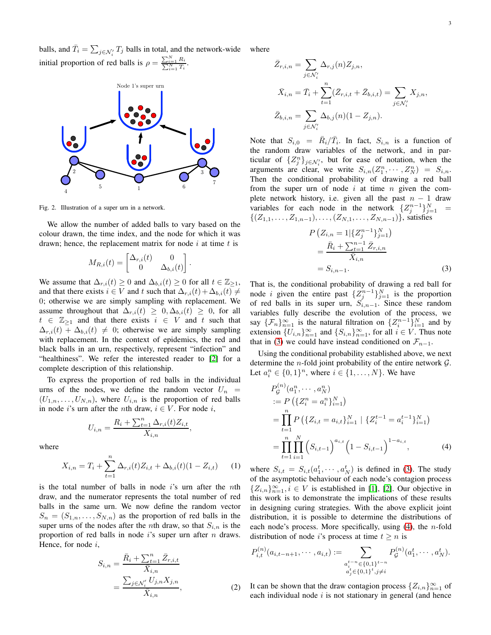balls, and  $\bar{T}_i = \sum_{j \in \mathcal{N}'_i} T_j$  balls in total, and the network-wide i initial proportion of red balls is  $\rho = \frac{\sum_{i=1}^{N} R_i}{\sum_{i=1}^{N} T_i}$ . where



<span id="page-2-0"></span>Fig. 2. Illustration of a super urn in a network.

We allow the number of added balls to vary based on the colour drawn, the time index, and the node for which it was drawn; hence, the replacement matrix for node  $i$  at time  $t$  is

$$
M_{R,i}(t) = \begin{bmatrix} \Delta_{r,i}(t) & 0\\ 0 & \Delta_{b,i}(t) \end{bmatrix}
$$

.

We assume that  $\Delta_{r,i}(t) \geq 0$  and  $\Delta_{b,i}(t) \geq 0$  for all  $t \in \mathbb{Z}_{\geq 1}$ , and that there exists  $i \in V$  and t such that  $\Delta_{r,i}(t) + \Delta_{b,i}(t) \neq$ 0; otherwise we are simply sampling with replacement. We assume throughout that  $\Delta_{r,i}(t) \geq 0, \Delta_{b,i}(t) \geq 0$ , for all  $t \in \mathbb{Z}_{\geq 1}$  and that there exists  $i \in V$  and t such that  $\Delta_{r,i}(t) + \Delta_{b,i}(t) \neq 0$ ; otherwise we are simply sampling with replacement. In the context of epidemics, the red and black balls in an urn, respectively, represent "infection" and "healthiness". We refer the interested reader to [\[2\]](#page-11-1) for a complete description of this relationship.

To express the proportion of red balls in the individual urns of the nodes, we define the random vector  $U_n$  =  $(U_{1,n},\ldots,U_{N,n})$ , where  $U_{i,n}$  is the proportion of red balls in node i's urn after the *n*th draw,  $i \in V$ . For node i,

$$
U_{i,n} = \frac{R_i + \sum_{t=1}^n \Delta_{r,i}(t)Z_{i,t}}{X_{i,n}},
$$

where

$$
X_{i,n} = T_i + \sum_{t=1}^{n} \Delta_{r,i}(t) Z_{i,t} + \Delta_{b,i}(t) (1 - Z_{i,t}) \tag{1}
$$

is the total number of balls in node  $i$ 's urn after the nth draw, and the numerator represents the total number of red balls in the same urn. We now define the random vector  $S_n = (S_{1,n}, \ldots, S_{N,n})$  as the proportion of red balls in the super urns of the nodes after the *n*th draw, so that  $S_{i,n}$  is the proportion of red balls in node i's super urn after  $n$  draws. Hence, for node  $i$ ,

$$
S_{i,n} = \frac{\bar{R}_i + \sum_{t=1}^n \bar{Z}_{r,i,t}}{\bar{X}_{i,n}} \\
= \frac{\sum_{j \in \mathcal{N}'_i} U_{j,n} X_{j,n}}{\bar{X}_{i,n}},
$$
\n(2)

$$
\bar{Z}_{r,i,n} = \sum_{j \in \mathcal{N}'_i} \Delta_{r,j}(n) Z_{j,n},
$$
\n
$$
\bar{X}_{i,n} = \bar{T}_i + \sum_{t=1}^n (\bar{Z}_{r,i,t} + \bar{Z}_{b,i,t}) = \sum_{j \in \mathcal{N}'_i} X_{j,n},
$$
\n
$$
\bar{Z}_{b,i,n} = \sum_{j \in \mathcal{N}'_i} \Delta_{b,j}(n) (1 - Z_{j,n}).
$$

Note that  $S_{i,0} = \bar{R}_i / \bar{T}_i$ . In fact,  $S_{i,n}$  is a function of the random draw variables of the network, and in particular of  $\{Z_j^n\}_{j \in \mathcal{N}'_i}$ , but for ease of notation, when the arguments are clear, we write  $S_{i,n}(Z_1^n, \dots, Z_N^n) = S_{i,n}$ . Then the conditional probability of drawing a red ball from the super urn of node  $i$  at time  $n$  given the complete network history, i.e. given all the past  $n - 1$  draw variables for each node in the network  $\{Z_j^{n-1}\}_{j=1}^N$  =  $\{(Z_{1,1}, \ldots, Z_{1,n-1}), \ldots, (Z_{N,1}, \ldots, Z_{N,n-1})\}\$ , satisfies

<span id="page-2-1"></span>
$$
P\left(Z_{i,n} = 1 | \{Z_j^{n-1}\}_{j=1}^N\right)
$$
  
= 
$$
\frac{\bar{R}_i + \sum_{t=1}^{n-1} \bar{Z}_{r,i,n}}{\bar{X}_{i,n}}
$$
  
= 
$$
S_{i,n-1}.
$$
 (3)

That is, the conditional probability of drawing a red ball for node *i* given the entire past  $\{Z_j^{n-1}\}_{j=1}^N$  is the proportion of red balls in its super urn,  $S_{i,n-1}$ . Since these random variables fully describe the evolution of the process, we say  $\{\mathcal{F}_n\}_{n=1}^{\infty}$  is the natural filtration on  $\{Z_i^{n-1}\}_{i=1}^N$  and by extension  $\{U_{i,n}\}_{n=1}^{\infty}$  and  $\{S_{i,n}\}_{n=1}^{\infty}$ , for all  $i \in V$ . Thus note that in [\(3\)](#page-2-1) we could have instead conditioned on  $\mathcal{F}_{n-1}$ .

Using the conditional probability established above, we next determine the *n*-fold joint probability of the entire network  $\mathcal{G}$ . Let  $a_i^n \in \{0,1\}^n$ , where  $i \in \{1, ..., N\}$ . We have

<span id="page-2-2"></span>
$$
P_{\mathcal{G}}^{(n)}(a_1^n, \dots, a_N^n)
$$
  
\n:=  $P\left(\{Z_i^n = a_i^n\}_{i=1}^N\right)$   
\n= $\prod_{t=1}^n P\left(\{Z_{i,t} = a_{i,t}\}_{i=1}^N \mid \{Z_i^{t-1} = a_i^{t-1}\}_{i=1}^N\right)$   
\n= $\prod_{t=1}^n \prod_{i=1}^N \left(S_{i,t-1}\right)^{a_{i,t}} \left(1 - S_{i,t-1}\right)^{1 - a_{i,t}},$  (4)

<span id="page-2-4"></span>where  $S_{i,t} = S_{i,t}(a_1^t, \dots, a_N^t)$  is defined in [\(3\)](#page-2-1). The study of the asymptotic behaviour of each node's contagion process  ${Z_{i,n}}_{n=1}^{\infty}$ ,  $i \in V$  is established in [\[1\]](#page-11-0), [\[2\]](#page-11-1). Our objective in this work is to demonstrate the implications of these results in designing curing strategies. With the above explicit joint distribution, it is possible to determine the distributions of each node's process. More specifically, using  $(4)$ , the *n*-fold distribution of node *i*'s process at time  $t \geq n$  is

$$
P_{i,t}^{(n)}(a_{i,t-n+1},\cdots,a_{i,t}) := \sum_{\substack{a_i^{t-n} \in \{0,1\}^{t-n} \\ a_j^t \in \{0,1\}^t, j \neq i}} P_{\mathcal{G}}^{(n)}(a_1^t,\cdots,a_N^t).
$$

<span id="page-2-3"></span>It can be shown that the draw contagion process  $\{Z_{i,n}\}_{n=1}^{\infty}$  of each individual node  $i$  is not stationary in general (and hence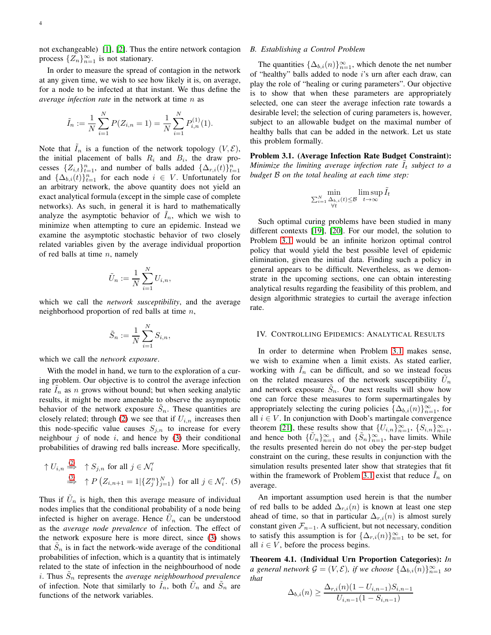not exchangeable) [\[1\]](#page-11-0), [\[2\]](#page-11-1). Thus the entire network contagion process  $\{Z_n\}_{n=1}^{\infty}$  is not stationary.

In order to measure the spread of contagion in the network at any given time, we wish to see how likely it is, on average, for a node to be infected at that instant. We thus define the *average infection rate* in the network at time n as

$$
\tilde{I}_n := \frac{1}{N} \sum_{i=1}^N P(Z_{i,n} = 1) = \frac{1}{N} \sum_{i=1}^N P_{i,n}^{(1)}(1).
$$

Note that  $I_n$  is a function of the network topology  $(V, \mathcal{E})$ , the initial placement of balls  $R_i$  and  $B_i$ , the draw processes  $\{Z_{i,t}\}_{t=1}^n$ , and number of balls added  $\{\Delta_{r,i}(t)\}_{t=1}^n$ and  $\{\Delta_{b,i}(t)\}_{t=1}^n$  for each node  $i \in V$ . Unfortunately for an arbitrary network, the above quantity does not yield an exact analytical formula (except in the simple case of complete networks). As such, in general it is hard to mathematically analyze the asymptotic behavior of  $I_n$ , which we wish to minimize when attempting to cure an epidemic. Instead we examine the asymptotic stochastic behavior of two closely related variables given by the average individual proportion of red balls at time  $n$ , namely

$$
\tilde{U}_n := \frac{1}{N} \sum_{i=1}^N U_{i,n},
$$

which we call the *network susceptibility*, and the average neighborhood proportion of red balls at time  $n$ ,

$$
\tilde{S}_n := \frac{1}{N} \sum_{i=1}^N S_{i,n},
$$

which we call the *network exposure*.

With the model in hand, we turn to the exploration of a curing problem. Our objective is to control the average infection rate  $I_n$  as n grows without bound; but when seeking analytic results, it might be more amenable to observe the asymptotic behavior of the network exposure  $\tilde{S}_n$ . These quantities are closely related; through [\(2\)](#page-2-3) we see that if  $U_{i,n}$  increases then this node-specific value causes  $S_{j,n}$  to increase for every neighbour  $j$  of node  $i$ , and hence by [\(3\)](#page-2-1) their conditional probabilities of drawing red balls increase. More specifically,

$$
\uparrow U_{i,n} \stackrel{(2)}{\Longrightarrow} \uparrow S_{j,n} \text{ for all } j \in \mathcal{N}'_i
$$
  

$$
\stackrel{(3)}{\Longrightarrow} \uparrow P(Z_{i,n+1} = 1 | \{Z_j^n\}_{j=1}^N) \text{ for all } j \in \mathcal{N}'_i. \text{ (5)}
$$

Thus if  $\tilde{U}_n$  is high, then this average measure of individual nodes implies that the conditional probability of a node being infected is higher on average. Hence  $\tilde{U}_n$  can be understood as the *average node prevalence* of infection. The effect of the network exposure here is more direct, since [\(3\)](#page-2-1) shows that  $\tilde{S}_n$  is in fact the network-wide average of the conditional probabilities of infection, which is a quantity that is intimately related to the state of infection in the neighbourhood of node i. Thus  $\tilde{S}_n$  represents the *average neighbourhood prevalence* of infection. Note that similarly to  $I_n$ , both  $\tilde{U}_n$  and  $\tilde{S}_n$  are functions of the network variables.

## *B. Establishing a Control Problem*

The quantities  $\{\Delta_{b,i}(n)\}_{n=1}^{\infty}$ , which denote the net number of "healthy" balls added to node i's urn after each draw, can play the role of "healing or curing parameters". Our objective is to show that when these parameters are appropriately selected, one can steer the average infection rate towards a desirable level; the selection of curing parameters is, however, subject to an allowable budget on the maximal number of healthy balls that can be added in the network. Let us state this problem formally.

<span id="page-3-1"></span>Problem 3.1. (Average Infection Rate Budget Constraint): *Minimize the limiting average infection rate*  $I_t$  *subject to a budget* B *on the total healing at each time step:*

$$
\min_{\substack{\sum_{i=1}^N\Delta_{b,i}(t)\leq\mathcal{B}\\ \forall t}}\limsup_{t\to\infty}\tilde{I}_t
$$

Such optimal curing problems have been studied in many different contexts [\[19\]](#page-11-18), [\[20\]](#page-11-19). For our model, the solution to Problem [3.1](#page-3-1) would be an infinite horizon optimal control policy that would yield the best possible level of epidemic elimination, given the initial data. Finding such a policy in general appears to be difficult. Nevertheless, as we demonstrate in the upcoming sections, one can obtain interesting analytical results regarding the feasibility of this problem, and design algorithmic strategies to curtail the average infection rate.

# <span id="page-3-0"></span>IV. CONTROLLING EPIDEMICS: ANALYTICAL RESULTS

In order to determine when Problem [3.1](#page-3-1) makes sense, we wish to examine when a limit exists. As stated earlier, working with  $I_n$  can be difficult, and so we instead focus on the related measures of the network susceptibility  $\tilde{U}_n$ and network exposure  $\tilde{S}_n$ . Our next results will show how one can force these measures to form supermartingales by appropriately selecting the curing policies  $\{\Delta_{b,i}(n)\}_{n=1}^{\infty}$ , for all  $i \in V$ . In conjunction with Doob's martingale convergence theorem [\[21\]](#page-11-20), these results show that  $\{U_{i,n}\}_{n=1}^{\infty}$ ,  $\{S_{i,n}\}_{n=1}^{\infty}$ , and hence both  $\{\tilde{U}_n\}_{n=1}^{\infty}$  and  $\{\tilde{S}_n\}_{n=1}^{\infty}$ , have limits. While the results presented herein do not obey the per-step budget constraint on the curing, these results in conjunction with the simulation results presented later show that strategies that fit within the framework of Problem [3.1](#page-3-1) exist that reduce  $I_n$  on average.

<span id="page-3-3"></span>An important assumption used herein is that the number of red balls to be added  $\Delta_{r,i}(n)$  is known at least one step ahead of time, so that in particular  $\Delta_{r,i}(n)$  is almost surely constant given  $\mathcal{F}_{n-1}$ . A sufficient, but not necessary, condition to satisfy this assumption is for  $\{\Delta_{r,i}(n)\}_{n=1}^{\infty}$  to be set, for all  $i \in V$ , before the process begins.

<span id="page-3-2"></span>Theorem 4.1. (Individual Urn Proportion Categories): *In a* general network  $\mathcal{G} = (V, \mathcal{E})$ , if we choose  $\{\Delta_{b,i}(n)\}_{n=1}^{\infty}$  so *that*

$$
\Delta_{b,i}(n) \ge \frac{\Delta_{r,i}(n)(1-U_{i,n-1})S_{i,n-1}}{U_{i,n-1}(1-S_{i,n-1})}
$$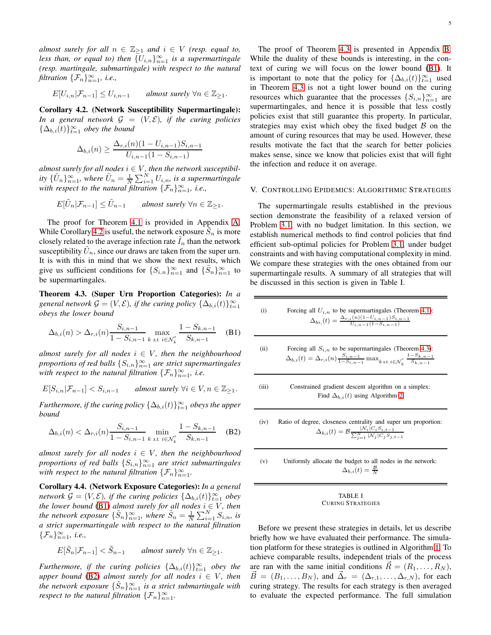*almost surely for all*  $n \in \mathbb{Z}_{\geq 1}$  *and*  $i \in V$  *(resp. equal to,* less than, or equal to) then  $\{U_{i,n}\}_{n=1}^{\infty}$  is a supermartingale *(resp. martingale, submartingale) with respect to the natural filtration*  $\{\mathcal{F}_n\}_{n=1}^{\infty}$ , *i.e.*,

$$
E[U_{i,n}|\mathcal{F}_{n-1}] \leq U_{i,n-1} \qquad almost \ surely \ \forall n \in \mathbb{Z}_{\geq 1}.
$$

<span id="page-4-1"></span>Corollary 4.2. (Network Susceptibility Supermartingale): *In a general network*  $G = (V, \mathcal{E})$ *, if the curing policies*  $\{\Delta_{b,i}(t)\}_{t=1}^{\infty}$  *obey the bound* 

$$
\Delta_{b,i}(n) \ge \frac{\Delta_{r,i}(n)(1 - U_{i,n-1})S_{i,n-1}}{U_{i,n-1}(1 - S_{i,n-1})}
$$

 $a$ lmost surely for all nodes  $i \in V$ , then the network susceptibil*ity*  $\{\tilde{U}_n\}_{n=1}^{\infty}$ , where  $\tilde{U}_n = \frac{1}{N} \sum_{i=1}^{N} U_{i,n}$ , is a supermartingale *with respect to the natural filtration*  $\{\mathcal{F}_n\}_{n=1}^{\infty}$ , *i.e.*,

$$
E[\tilde{U}_n|\mathcal{F}_{n-1}] \le \tilde{U}_{n-1} \qquad almost \ surely \ \forall n \in \mathbb{Z}_{\ge 1}.
$$

The proof for Theorem [4.1](#page-3-2) is provided in Appendix [A.](#page-8-1) While Corollary [4.2](#page-4-1) is useful, the network exposure  $\tilde{S}_n$  is more closely related to the average infection rate  $I_n$  than the network susceptibility  $\tilde{U}_n$ , since our draws are taken from the super urn. It is with this in mind that we show the next results, which give us sufficient conditions for  $\{S_{i,n}\}_{n=1}^{\infty}$  and  $\{\tilde{S}_n\}_{n=1}^{\infty}$  to be supermartingales.

<span id="page-4-4"></span>Theorem 4.3. (Super Urn Proportion Categories): *In a general network*  $\mathcal{G} = (V, \mathcal{E})$ , *if the curing policy*  $\{\Delta_{b,i}(t)\}_{t=1}^{\infty}$ *obeys the lower bound*

$$
\Delta_{b,i}(n) > \Delta_{r,i}(n) \frac{S_{i,n-1}}{1 - S_{i,n-1}} \max_{k \text{ s.t. } i \in \mathcal{N}'_k} \frac{1 - S_{k,n-1}}{S_{k,n-1}} \quad (B1)
$$

*almost surely for all nodes*  $i \in V$ *, then the neighbourhood proportions of red balls*  $\{S_{i,n}\}_{n=1}^{\infty}$  *are strict supermartingales with respect to the natural filtration*  $\{\mathcal{F}_n\}_{n=1}^{\infty}$ , *i.e.* 

$$
E[S_{i,n}|\mathcal{F}_{n-1}] < S_{i,n-1} \qquad \textit{almost surely} \ \forall i \in V, n \in \mathbb{Z}_{\geq 1}.
$$

*Furthermore, if the curing policy*  $\{\Delta_{b,i}(t)\}_{t=1}^{\infty}$  *obeys the upper bound*

$$
\Delta_{b,i}(n) < \Delta_{r,i}(n) \frac{S_{i,n-1}}{1 - S_{i,n-1}} \min_{k \text{ s.t. } i \in \mathcal{N}'_k} \frac{1 - S_{k,n-1}}{S_{k,n-1}} \quad (B2)
$$

*almost surely for all nodes*  $i \in V$ *, then the neighbourhood proportions of red balls*  ${S_{i,n}}_{n=1}^{\infty}$  *are strict submartingales with respect to the natural filtration*  $\{\mathcal{F}_n\}_{n=1}^{\infty}$ .

<span id="page-4-5"></span>Corollary 4.4. (Network Exposure Categories): *In a general network*  $\mathcal{G} = (V, \mathcal{E})$ *, if the curing policies*  $\{\Delta_{b,i}(t)\}_{t=1}^{\infty}$  *obey the lower bound* [\(B1\)](#page-4-2) *almost surely for all nodes*  $i \in V$ *, then the network exposure*  $\{\tilde{S}_n\}_{n=1}^{\infty}$ , where  $\tilde{S}_n = \frac{1}{N} \sum_{i=1}^{N} S_{i,n}$ , is *a strict supermartingale with respect to the natural filtration*  $\{\mathcal{F}_n\}_{n=1}^\infty$ *, i.e.,* 

$$
E[\tilde{S}_n|\mathcal{F}_{n-1}] < \tilde{S}_{n-1} \qquad almost \ surely \ \forall n \in \mathbb{Z}_{\geq 1}.
$$

*Furthermore, if the curing policies*  $\{\Delta_{b,i}(t)\}_{t=1}^{\infty}$  *obey the upper bound* [\(B2\)](#page-4-3) *almost surely for all nodes*  $i \in V$ *, then* the network exposure  $\{\tilde{S}_n\}_{n=1}^{\infty}$  is a strict submartingale with *respect to the natural filtration*  $\{\mathcal{F}_n\}_{n=1}^{\infty}$ .

The proof of Theorem [4.3](#page-4-4) is presented in Appendix [B.](#page-10-0) While the duality of these bounds is interesting, in the context of curing we will focus on the lower bound [\(B1\)](#page-4-2). It is important to note that the policy for  $\{\Delta_{b,i}(t)\}_{t=1}^{\infty}$  used in Theorem [4.3](#page-4-4) is not a tight lower bound on the curing resources which guarantee that the processes  $\{S_{i,n}\}_{n=1}^{\infty}$  are supermartingales, and hence it is possible that less costly policies exist that still guarantee this property. In particular, strategies may exist which obey the fixed budget  $\beta$  on the amount of curing resources that may be used. However, these results motivate the fact that the search for better policies makes sense, since we know that policies exist that will fight the infection and reduce it on average.

# <span id="page-4-0"></span>V. CONTROLLING EPIDEMICS: ALGORITHMIC STRATEGIES

The supermartingale results established in the previous section demonstrate the feasibility of a relaxed version of Problem [3.1,](#page-3-1) with no budget limitation. In this section, we establish numerical methods to find control policies that find efficient sub-optimal policies for Problem [3.1,](#page-3-1) under budget constraints and with having computational complexity in mind. We compare these strategies with the ones obtained from our supermartingale results. A summary of all strategies that will be discussed in this section is given in Table I.

<span id="page-4-2"></span>\n- (i) Forcing all 
$$
U_{i,n}
$$
 to be supermartingales (Theorem 4.1):  $\Delta_{bi}(t) = \frac{\Delta_{r,i}(n)(1-U_{i,n-1})S_{i,n-1}}{U_{i,n-1}(1-S_{i,n-1})}$
\n- (ii) Forcing all  $S_{i,n}$  to be supermartingales (Theorem 4.3):  $\Delta_{b,i}(t) = \Delta_{r,i}(n) \frac{S_{i,n-1}}{1-S_{i,n-1}} \max_{k \text{ s.t. } i \in \mathcal{N}'_k} \frac{1-S_{k,n-1}}{S_{k,n-1}}$
\n- (iii) Constrained gradient descent algorithm on a simplex: Find  $\Delta_{b,i}(t)$  using Algorithm 2
\n

<span id="page-4-3"></span>(iv) Ratio of degree, closeness centrality and super urn proportion:  $\Delta_{b,i}(t) = \mathcal{B}_{\overline{\nabla}}$  $|N_i|C_iS_{i,t-1}$ N  $j=1$   $|\mathcal{N}_j|C_jS_{j,t-1}$ 

(v) Uniformly allocate the budget to all nodes in the network:  
\n
$$
\Delta_{b,i}(t) = \frac{B}{N}
$$

#### TABLE I CURING STRATEGIES

Before we present these strategies in details, let us describe briefly how we have evaluated their performance. The simulation platform for these strategies is outlined in Algorithm [1.](#page-5-0) To achieve comparable results, independent trials of the process are ran with the same initial conditions  $R = (R_1, \ldots, R_N)$ ,  $\vec{B} = (B_1, \ldots, B_N)$ , and  $\vec{\Delta}_r = (\Delta_{r,1}, \ldots, \Delta_{r,N})$ , for each curing strategy. The results for each strategy is then averaged to evaluate the expected performance. The full simulation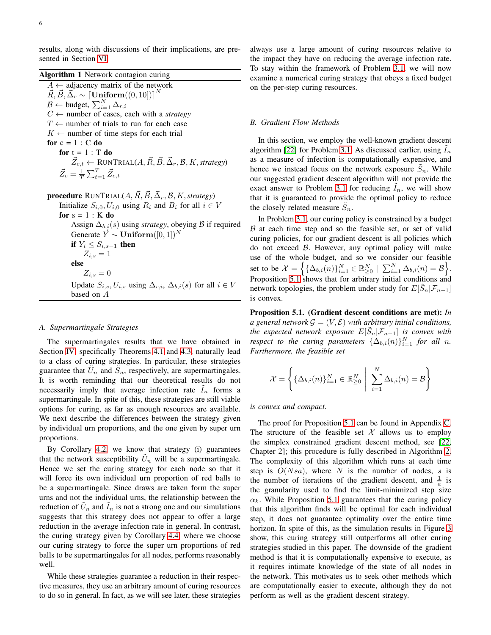results, along with discussions of their implications, are presented in Section [VI.](#page-6-0)

# <span id="page-5-0"></span>Algorithm 1 Network contagion curing

 $A \leftarrow$  adjacency matrix of the network  $\vec{R}, \vec{B}, \vec{\Delta_r} \sim \lceil \textbf{Uniform}((0, 10]) \rceil^N$  $\mathcal{B} \leftarrow \text{budget}, \sum_{i=1}^{N} \Delta_{r,i}$  $C \leftarrow$  number of cases, each with a *strategy*  $T \leftarrow$  number of trials to run for each case  $K \leftarrow$  number of time steps for each trial for  $c = 1 : C$  do for  $t = 1$  : T do  $\vec{Z}_{c,t} \leftarrow \text{RUNTRIAL}(A, \vec{R}, \vec{B}, \vec{\Delta}_r, \mathcal{B}, K, strategy)$  $\vec{Z}_c = \frac{1}{T} \sum_{t=1}^{T} \vec{Z}_{c,t}$  ${\bf procedure}$   ${\bf R}$ UN ${\rm TRIAL}(A, \vec{R}, \vec{B}, \vec{\Delta}_r, \mathcal{B}, K, strategy)$ Initialize  $S_{i,0}, U_{i,0}$  using  $R_i$  and  $B_i$  for all  $i \in V$ for  $s = 1 : K$  do Assign  $\Delta_{b,i}(s)$  using *strategy*, obeying B if required Generate  $Y \sim$  Uniform $([0, 1])^N$ if  $Y_i \leq S_{i,s-1}$  then  $Z_{i,s}=1$ else  $Z_{i,s} = 0$ 

Update  $S_{i,s}$ ,  $U_{i,s}$  using  $\Delta_{r,i}$ ,  $\Delta_{b,i}(s)$  for all  $i \in V$ based on A

#### *A. Supermartingale Strategies*

The supermartingales results that we have obtained in Section [IV,](#page-3-0) specifically Theorems [4.1](#page-3-2) and [4.3,](#page-4-4) naturally lead to a class of curing strategies. In particular, these strategies guarantee that  $\tilde{U}_n$  and  $\tilde{S}_n$ , respectively, are supermartingales. It is worth reminding that our theoretical results do not necessarily imply that average infection rate  $I_n$  forms a supermartingale. In spite of this, these strategies are still viable options for curing, as far as enough resources are available. We next describe the differences between the strategy given by individual urn proportions, and the one given by super urn proportions.

By Corollary [4.2,](#page-4-1) we know that strategy (i) guarantees that the network susceptibility  $\tilde{U}_n$  will be a supermartingale. Hence we set the curing strategy for each node so that it will force its own individual urn proportion of red balls to be a supermartingale. Since draws are taken form the super urns and not the individual urns, the relationship between the reduction of  $\tilde{U}_n$  and  $\tilde{I}_n$  is not a strong one and our simulations suggests that this strategy does not appear to offer a large reduction in the average infection rate in general. In contrast, the curing strategy given by Corollary [4.4,](#page-4-5) where we choose our curing strategy to force the super urn proportions of red balls to be supermartingales for all nodes, performs reasonably well.

While these strategies guarantee a reduction in their respective measures, they use an arbitrary amount of curing resources to do so in general. In fact, as we will see later, these strategies always use a large amount of curing resources relative to the impact they have on reducing the average infection rate. To stay within the framework of Problem [3.1,](#page-3-1) we will now examine a numerical curing strategy that obeys a fixed budget on the per-step curing resources.

# *B. Gradient Flow Methods*

In this section, we employ the well-known gradient descent algorithm [\[22\]](#page-11-21) for Problem [3.1.](#page-3-1) As discussed earlier, using  $I_n$ as a measure of infection is computationally expensive, and hence we instead focus on the network exposure  $\tilde{S}_n$ . While our suggested gradient descent algorithm will not provide the exact answer to Problem [3.1](#page-3-1) for reducing  $I_n$ , we will show that it is guaranteed to provide the optimal policy to reduce the closely related measure  $\tilde{S}_n$ .

In Problem [3.1,](#page-3-1) our curing policy is constrained by a budget  $B$  at each time step and so the feasible set, or set of valid curing policies, for our gradient descent is all policies which do not exceed  $\beta$ . However, any optimal policy will make use of the whole budget, and so we consider our feasible set to be  $\mathcal{X} = \left\{ \{\Delta_{b,i}(n)\}_{i=1}^N \in \mathbb{R}_{\geq 0}^N \mid \sum_{i=1}^N \Delta_{b,i}(n) = \mathcal{B} \right\}.$ Proposition [5.1](#page-5-1) shows that for arbitrary initial conditions and network topologies, the problem under study for  $E[\tilde{S}_n | \mathcal{F}_{n-1}]$ is convex.

<span id="page-5-1"></span>Proposition 5.1. (Gradient descent conditions are met): *In a* general network  $\mathcal{G} = (V, \mathcal{E})$  *with arbitrary initial conditions, the expected network exposure*  $E[\tilde{S}_n | \mathcal{F}_{n-1}]$  *is convex with respect to the curing parameters*  $\{\Delta_{b,i}(n)\}_{i=1}^N$  *for all n. Furthermore, the feasible set*

$$
\mathcal{X} = \left\{ \{\Delta_{b,i}(n)\}_{i=1}^N \in \mathbb{R}^N_{\geq 0} \middle| \sum_{i=1}^N \Delta_{b,i}(n) = \mathcal{B} \right\}
$$

## *is convex and compact.*

The proof for Proposition [5.1](#page-5-1) can be found in Appendix [C.](#page-10-1) The structure of the feasible set  $X$  allows us to employ the simplex constrained gradient descent method, see [\[22,](#page-11-21) Chapter 2]; this procedure is fully described in Algorithm [2.](#page-6-1) The complexity of this algorithm which runs at each time step is  $O(Nsa)$ , where N is the number of nodes, s is the number of iterations of the gradient descent, and  $\frac{1}{a}$  is the granularity used to find the limit-minimized step size  $\alpha_k$ . While Proposition [5.1](#page-5-1) guarantees that the curing policy that this algorithm finds will be optimal for each individual step, it does not guarantee optimality over the entire time horizon. In spite of this, as the simulation results in Figure [3](#page-7-0) show, this curing strategy still outperforms all other curing strategies studied in this paper. The downside of the gradient method is that it is computationally expensive to execute, as it requires intimate knowledge of the state of all nodes in the network. This motivates us to seek other methods which are computationally easier to execute, although they do not perform as well as the gradient descent strategy.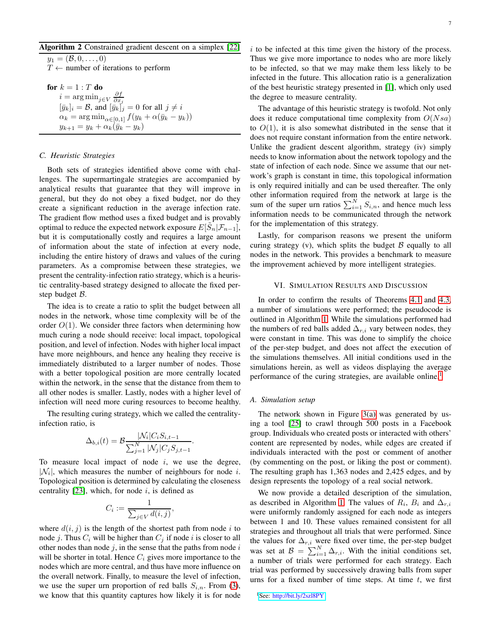# <span id="page-6-1"></span>Algorithm 2 Constrained gradient descent on a simplex [\[22\]](#page-11-21)

 $y_1 = (\mathcal{B}, 0, \ldots, 0)$  $T \leftarrow$  number of iterations to perform

**for** 
$$
k = 1 : T
$$
 **do**  
\n $i = \arg \min_{j \in V} \frac{\partial f}{\partial x_j}$   
\n $[\bar{y}_k]_i = \mathcal{B}$ , and  $[\bar{y}_k]_j = 0$  for all  $j \neq i$   
\n $\alpha_k = \arg \min_{\alpha \in [0,1]} f(y_k + \alpha(\bar{y}_k - y_k))$   
\n $y_{k+1} = y_k + \alpha_k (\bar{y}_k - y_k)$ 

## *C. Heuristic Strategies*

Both sets of strategies identified above come with challenges. The supermartingale strategies are accompanied by analytical results that guarantee that they will improve in general, but they do not obey a fixed budget, nor do they create a significant reduction in the average infection rate. The gradient flow method uses a fixed budget and is provably optimal to reduce the expected network exposure  $E[\tilde{S}_n | \mathcal{F}_{n-1}]$ , but it is computationally costly and requires a large amount of information about the state of infection at every node, including the entire history of draws and values of the curing parameters. As a compromise between these strategies, we present the centrality-infection ratio strategy, which is a heuristic centrality-based strategy designed to allocate the fixed perstep budget B.

The idea is to create a ratio to split the budget between all nodes in the network, whose time complexity will be of the order  $O(1)$ . We consider three factors when determining how much curing a node should receive: local impact, topological position, and level of infection. Nodes with higher local impact have more neighbours, and hence any healing they receive is immediately distributed to a larger number of nodes. Those with a better topological position are more centrally located within the network, in the sense that the distance from them to all other nodes is smaller. Lastly, nodes with a higher level of infection will need more curing resources to become healthy.

The resulting curing strategy, which we called the centralityinfection ratio, is

$$
\Delta_{b,i}(t) = \mathcal{B} \frac{|\mathcal{N}_i| C_i S_{i,t-1}}{\sum_{j=1}^N |\mathcal{N}_j| C_j S_{j,t-1}}.
$$

To measure local impact of node  $i$ , we use the degree,  $|\mathcal{N}_i|$ , which measures the number of neighbours for node *i*. Topological position is determined by calculating the closeness centrality [\[23\]](#page-11-22), which, for node  $i$ , is defined as

$$
C_i := \frac{1}{\sum_{j \in V} d(i,j)},
$$

where  $d(i, j)$  is the length of the shortest path from node i to node j. Thus  $C_i$  will be higher than  $C_j$  if node i is closer to all other nodes than node  $j$ , in the sense that the paths from node  $i$ will be shorter in total. Hence  $C_i$  gives more importance to the nodes which are more central, and thus have more influence on the overall network. Finally, to measure the level of infection, we use the super urn proportion of red balls  $S_{i,n}$ . From [\(3\)](#page-2-1), we know that this quantity captures how likely it is for node  $i$  to be infected at this time given the history of the process. Thus we give more importance to nodes who are more likely to be infected, so that we may make them less likely to be infected in the future. This allocation ratio is a generalization of the best heuristic strategy presented in [\[1\]](#page-11-0), which only used the degree to measure centrality.

The advantage of this heuristic strategy is twofold. Not only does it reduce computational time complexity from  $O(Nsa)$ to  $O(1)$ , it is also somewhat distributed in the sense that it does not require constant information from the entire network. Unlike the gradient descent algorithm, strategy (iv) simply needs to know information about the network topology and the state of infection of each node. Since we assume that our network's graph is constant in time, this topological information is only required initially and can be used thereafter. The only other information required from the network at large is the sum of the super urn ratios  $\sum_{i=1}^{N} S_{i,n}$ , and hence much less information needs to be communicated through the network for the implementation of this strategy.

Lastly, for comparison reasons we present the uniform curing strategy (v), which splits the budget  $\beta$  equally to all nodes in the network. This provides a benchmark to measure the improvement achieved by more intelligent strategies.

## <span id="page-6-0"></span>VI. SIMULATION RESULTS AND DISCUSSION

In order to confirm the results of Theorems [4.1](#page-3-2) and [4.3,](#page-4-4) a number of simulations were performed; the pseudocode is outlined in Algorithm [1.](#page-5-0) While the simulations performed had the numbers of red balls added  $\Delta_{r,i}$  vary between nodes, they were constant in time. This was done to simplify the choice of the per-step budget, and does not affect the execution of the simulations themselves. All initial conditions used in the simulations herein, as well as videos displaying the average performance of the curing strategies, are available online.<sup>[1](#page-6-2)</sup>

# *A. Simulation setup*

The network shown in Figure  $3(a)$  was generated by using a tool [\[25\]](#page-11-23) to crawl through 500 posts in a Facebook group. Individuals who created posts or interacted with others' content are represented by nodes, while edges are created if individuals interacted with the post or comment of another (by commenting on the post, or liking the post or comment). The resulting graph has 1,363 nodes and 2,425 edges, and by design represents the topology of a real social network.

<span id="page-6-2"></span>We now provide a detailed description of the simulation, as described in Algorithm [1.](#page-5-0) The values of  $R_i$ ,  $B_i$  and  $\Delta_{r,i}$ were uniformly randomly assigned for each node as integers between 1 and 10. These values remained consistent for all strategies and throughout all trials that were performed. Since the values for  $\Delta_{r,i}$  were fixed over time, the per-step budget was set at  $\mathcal{B} = \sum_{i=1}^{N} \Delta_{r,i}$ . With the initial conditions set, a number of trials were performed for each strategy. Each trial was performed by successively drawing balls from super urns for a fixed number of time steps. At time  $t$ , we first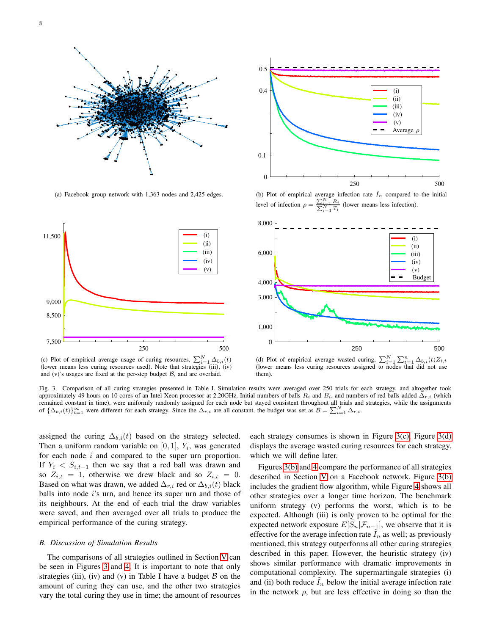<span id="page-7-1"></span>



<span id="page-7-2"></span>(a) Facebook group network with 1,363 nodes and 2,425 edges.

<span id="page-7-4"></span>(b) Plot of empirical average infection rate  $I_n$  compared to the initial level of infection  $\rho = \frac{\sum_{i=1}^{N} R_i}{\sum_{i=1}^{N} T_i}$  (lower means less infection).



(c) Plot of empirical average usage of curing resources,  $\sum_{i=1}^{N} \Delta_{b,i}(t)$ (lower means less curing resources used). Note that strategies (iii), (iv) and  $(v)$ 's usages are fixed at the per-step budget  $B$ , and are overlaid.

<span id="page-7-3"></span>(d) Plot of empirical average wasted curing,  $\sum_{i=1}^{N} \sum_{t=1}^{n}$  $t_{i=1} \Delta_{b,i}(t) Z_{i,t}$ (lower means less curing resources assigned to nodes that did not use them).

<span id="page-7-0"></span>Fig. 3. Comparison of all curing strategies presented in Table I. Simulation results were averaged over 250 trials for each strategy, and altogether took approximately 49 hours on 10 cores of an Intel Xeon processor at 2.20GHz. Initial numbers of balls  $R_i$  and  $B_i$ , and numbers of red balls added  $\Delta_{r,i}$  (which remained constant in time), were uniformly randomly assigned for each node but stayed consistent throughout all trials and strategies, while the assignments of  $\{\Delta_{b,i}(t)\}_{t=1}^{\infty}$  were different for each strategy. Since

assigned the curing  $\Delta_{b,i}(t)$  based on the strategy selected. Then a uniform random variable on  $[0, 1]$ ,  $Y_i$ , was generated for each node  $i$  and compared to the super urn proportion. If  $Y_i$  <  $S_{i,t-1}$  then we say that a red ball was drawn and so  $Z_{i,t} = 1$ , otherwise we drew black and so  $Z_{i,t} = 0$ . Based on what was drawn, we added  $\Delta_{r,i}$  red or  $\Delta_{b,i}(t)$  black balls into node i's urn, and hence its super urn and those of its neighbours. At the end of each trial the draw variables were saved, and then averaged over all trials to produce the empirical performance of the curing strategy.

# *B. Discussion of Simulation Results*

The comparisons of all strategies outlined in Section [V](#page-4-0) can be seen in Figures [3](#page-7-0) and [4.](#page-8-2) It is important to note that only strategies (iii), (iv) and (v) in Table I have a budget  $B$  on the amount of curing they can use, and the other two strategies vary the total curing they use in time; the amount of resources each strategy consumes is shown in Figure [3\(c\).](#page-7-2) Figure [3\(d\)](#page-7-3) displays the average wasted curing resources for each strategy, which we will define later.

Figures [3\(b\)](#page-7-4) and [4](#page-8-2) compare the performance of all strategies described in Section [V](#page-4-0) on a Facebook network. Figure [3\(b\)](#page-7-4) includes the gradient flow algorithm, while Figure [4](#page-8-2) shows all other strategies over a longer time horizon. The benchmark uniform strategy (v) performs the worst, which is to be expected. Although (iii) is only proven to be optimal for the expected network exposure  $E[\tilde{S}_n | \mathcal{F}_{n-1}]$ , we observe that it is effective for the average infection rate  $I_n$  as well; as previously mentioned, this strategy outperforms all other curing strategies described in this paper. However, the heuristic strategy (iv) shows similar performance with dramatic improvements in computational complexity. The supermartingale strategies (i) and (ii) both reduce  $I_n$  below the initial average infection rate in the network  $\rho$ , but are less effective in doing so than the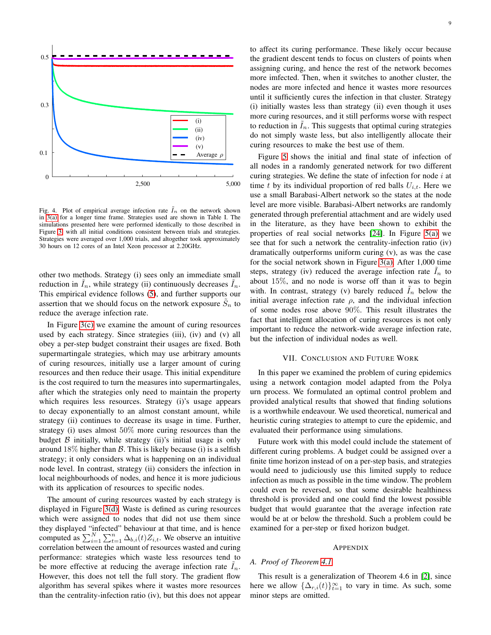

<span id="page-8-2"></span>Fig. 4. Plot of empirical average infection rate  $I_n$  on the network shown in [3\(a\)](#page-7-1) for a longer time frame. Strategies used are shown in Table I. The simulations presented here were performed identically to those described in Figure [3,](#page-7-0) with all initial conditions consistent between trials and strategies. Strategies were averaged over 1,000 trials, and altogether took approximately 30 hours on 12 cores of an Intel Xeon processor at 2.20GHz.

other two methods. Strategy (i) sees only an immediate small reduction in  $\tilde{I}_n$ , while strategy (ii) continuously decreases  $\tilde{I}_n$ . This empirical evidence follows [\(5\)](#page-3-3), and further supports our assertion that we should focus on the network exposure  $\tilde{S}_n$  to reduce the average infection rate.

In Figure [3\(c\)](#page-7-2) we examine the amount of curing resources used by each strategy. Since strategies (iii), (iv) and (v) all obey a per-step budget constraint their usages are fixed. Both supermartingale strategies, which may use arbitrary amounts of curing resources, initially use a larger amount of curing resources and then reduce their usage. This initial expenditure is the cost required to turn the measures into supermartingales, after which the strategies only need to maintain the property which requires less resources. Strategy (i)'s usage appears to decay exponentially to an almost constant amount, while strategy (ii) continues to decrease its usage in time. Further, strategy (i) uses almost 50% more curing resources than the budget  $\beta$  initially, while strategy (ii)'s initial usage is only around  $18\%$  higher than  $\beta$ . This is likely because (i) is a selfish strategy; it only considers what is happening on an individual node level. In contrast, strategy (ii) considers the infection in local neighbourhoods of nodes, and hence it is more judicious with its application of resources to specific nodes.

The amount of curing resources wasted by each strategy is displayed in Figure [3\(d\).](#page-7-3) Waste is defined as curing resources which were assigned to nodes that did not use them since they displayed "infected" behaviour at that time, and is hence computed as  $\sum_{i=1}^{N} \sum_{t=1}^{n} \Delta_{b,i}(t) Z_{i,t}$ . We observe an intuitive correlation between the amount of resources wasted and curing performance: strategies which waste less resources tend to be more effective at reducing the average infection rate  $I_n$ . However, this does not tell the full story. The gradient flow algorithm has several spikes where it wastes more resources than the centrality-infection ratio (iv), but this does not appear to affect its curing performance. These likely occur because the gradient descent tends to focus on clusters of points when assigning curing, and hence the rest of the network becomes more imfected. Then, when it switches to another cluster, the nodes are more infected and hence it wastes more resources until it sufficiently cures the infection in that cluster. Strategy (i) initially wastes less than strategy (ii) even though it uses more curing resources, and it still performs worse with respect to reduction in  $I_n$ . This suggests that optimal curing strategies do not simply waste less, but also intelligently allocate their curing resources to make the best use of them.

Figure [5](#page-9-0) shows the initial and final state of infection of all nodes in a randomly generated network for two different curing strategies. We define the state of infection for node  $i$  at time t by its individual proportion of red balls  $U_{i,t}$ . Here we use a small Barabasi-Albert network so the states at the node level are more visible. Barabasi-Albert networks are randomly generated through preferential attachment and are widely used in the literature, as they have been shown to exhibit the properties of real social networks [\[24\]](#page-11-24). In Figure [5\(a\)](#page-9-1) we see that for such a network the centrality-infection ratio (iv) dramatically outperforms uniform curing (v), as was the case for the social network shown in Figure [3\(a\).](#page-7-1) After 1,000 time steps, strategy (iv) reduced the average infection rate  $I_n$  to about 15%, and no node is worse off than it was to begin with. In contrast, strategy (v) barely reduced  $I_n$  below the initial average infection rate  $\rho$ , and the individual infection of some nodes rose above 90%. This result illustrates the fact that intelligent allocation of curing resources is not only important to reduce the network-wide average infection rate, but the infection of individual nodes as well.

## VII. CONCLUSION AND FUTURE WORK

<span id="page-8-0"></span>In this paper we examined the problem of curing epidemics using a network contagion model adapted from the Polya urn process. We formulated an optimal control problem and provided analytical results that showed that finding solutions is a worthwhile endeavour. We used theoretical, numerical and heuristic curing strategies to attempt to cure the epidemic, and evaluated their performance using simulations.

Future work with this model could include the statement of different curing problems. A budget could be assigned over a finite time horizon instead of on a per-step basis, and strategies would need to judiciously use this limited supply to reduce infection as much as possible in the time window. The problem could even be reversed, so that some desirable healthiness threshold is provided and one could find the lowest possible budget that would guarantee that the average infection rate would be at or below the threshold. Such a problem could be examined for a per-step or fixed horizon budget.

#### APPENDIX

#### <span id="page-8-1"></span>*A. Proof of Theorem [4.1](#page-3-2)*

This result is a generalization of Theorem 4.6 in [\[2\]](#page-11-1), since here we allow  $\{\Delta_{r,i}(t)\}_{t=1}^{\infty}$  to vary in time. As such, some minor steps are omitted.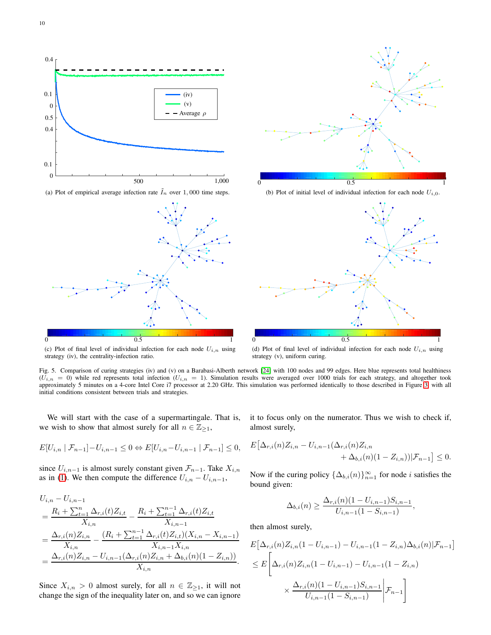<span id="page-9-1"></span>

(c) Plot of final level of individual infection for each node  $U_{i,n}$  using strategy (iv), the centrality-infection ratio.

(d) Plot of final level of individual infection for each node  $U_{i,n}$  using strategy (v), uniform curing.

<span id="page-9-0"></span>Fig. 5. Comparison of curing strategies (iv) and (v) on a Barabasi-Alberth network [\[24\]](#page-11-24) with 100 nodes and 99 edges. Here blue represents total healthiness  $(U_{i,n} = 0)$  while red represents total infection  $(U_{i,n} = 1)$ . Simulation results were averaged over 1000 trials for each strategy, and altogether took approximately 5 minutes on a 4-core Intel Core i7 processor at 2.20 GHz. This simulation was performed identically to those described in Figure [3,](#page-7-0) with all initial conditions consistent between trials and strategies.

We will start with the case of a supermartingale. That is, we wish to show that almost surely for all  $n \in \mathbb{Z}_{\geq 1}$ ,

$$
E[U_{i,n} | \mathcal{F}_{n-1}] - U_{i,n-1} \leq 0 \Leftrightarrow E[U_{i,n} - U_{i,n-1} | \mathcal{F}_{n-1}] \leq 0,
$$

since  $U_{i,n-1}$  is almost surely constant given  $\mathcal{F}_{n-1}$ . Take  $X_{i,n}$ as in [\(1\)](#page-2-4). We then compute the difference  $U_{i,n} - U_{i,n-1}$ ,

$$
U_{i,n} - U_{i,n-1}
$$
  
=  $\frac{R_i + \sum_{t=1}^n \Delta_{r,i}(t)Z_{i,t}}{X_{i,n}} - \frac{R_i + \sum_{t=1}^{n-1} \Delta_{r,i}(t)Z_{i,t}}{X_{i,n-1}}$   
=  $\frac{\Delta_{r,i}(n)Z_{i,n}}{X_{i,n}} - \frac{(R_i + \sum_{t=1}^{n-1} \Delta_{r,i}(t)Z_{i,t})(X_{i,n} - X_{i,n-1})}{X_{i,n-1}X_{i,n}}$   
=  $\frac{\Delta_{r,i}(n)Z_{i,n} - U_{i,n-1}(\Delta_{r,i}(n)Z_{i,n} + \Delta_{b,i}(n)(1 - Z_{i,n}))}{X_{i,n}}.$ 

Since  $X_{i,n} > 0$  almost surely, for all  $n \in \mathbb{Z}_{\geq 1}$ , it will not change the sign of the inequality later on, and so we can ignore it to focus only on the numerator. Thus we wish to check if, almost surely,

$$
E\big[\Delta_{r,i}(n)Z_{i,n} - U_{i,n-1}(\Delta_{r,i}(n)Z_{i,n} + \Delta_{b,i}(n)(1 - Z_{i,n}))|\mathcal{F}_{n-1}\big] \le 0.
$$

Now if the curing policy  $\{\Delta_{b,i}(n)\}_{n=1}^{\infty}$  for node *i* satisfies the bound given:

$$
\Delta_{b,i}(n) \ge \frac{\Delta_{r,i}(n)(1-U_{i,n-1})S_{i,n-1}}{U_{i,n-1}(1-S_{i,n-1})},
$$

then almost surely,

$$
E\Big[\Delta_{r,i}(n)Z_{i,n}(1-U_{i,n-1})-U_{i,n-1}(1-Z_{i,n})\Delta_{b,i}(n)|\mathcal{F}_{n-1}\Big]
$$
  
\n
$$
\leq E\Bigg[\Delta_{r,i}(n)Z_{i,n}(1-U_{i,n-1})-U_{i,n-1}(1-Z_{i,n})\Bigg]
$$
  
\n
$$
\times \frac{\Delta_{r,i}(n)(1-U_{i,n-1})S_{i,n-1}}{U_{i,n-1}(1-S_{i,n-1})}\Bigg|\mathcal{F}_{n-1}\Bigg]
$$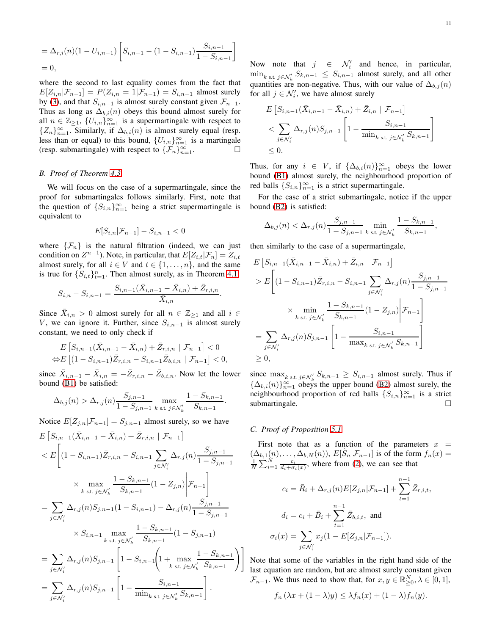$$
= \Delta_{r,i}(n)(1 - U_{i,n-1}) \left[ S_{i,n-1} - (1 - S_{i,n-1}) \frac{S_{i,n-1}}{1 - S_{i,n-1}} \right]
$$
  
= 0,

where the second to last equality comes from the fact that  $E[Z_{i,n}|\mathcal{F}_{n-1}] = P(Z_{i,n} = 1|\mathcal{F}_{n-1}) = S_{i,n-1}$  almost surely by [\(3\)](#page-2-1), and that  $S_{i,n-1}$  is almost surely constant given  $\mathcal{F}_{n-1}$ . Thus as long as  $\Delta_{b,i}(n)$  obeys this bound almost surely for all  $n \in \mathbb{Z}_{\geq 1}$ ,  $\{U_{i,n}\}_{n=1}^{\infty}$  is a supermartingale with respect to  ${Z_n}_{n=1}^{\infty}$ . Similarly, if  $\Delta_{b,i}(n)$  is almost surely equal (resp. less than or equal) to this bound,  ${U_{i,n}}_{n=1}^{\infty}$  is a martingale (resp. submartingale) with respect to  $\{\mathcal{F}_n\}_{n=1}^{\infty}$ .

#### <span id="page-10-0"></span>*B. Proof of Theorem [4.3](#page-4-4)*

We will focus on the case of a supermartingale, since the proof for submartingales follows similarly. First, note that the question of  ${S_{i,n}}_{n=1}^{\infty}$  being a strict supermartingale is equivalent to

$$
E[S_{i,n}|\mathcal{F}_{n-1}] - S_{i,n-1} < 0
$$

where  $\{\mathcal{F}_n\}$  is the natural filtration (indeed, we can just condition on  $Z^{n-1}$ ). Note, in particular, that  $E[Z_{i,t}|\mathcal{F}_n] = Z_{i,t}$ almost surely, for all  $i \in V$  and  $t \in \{1, \ldots, n\}$ , and the same is true for  $\{S_{i,t}\}_{t=1}^n$ . Then almost surely, as in Theorem [4.1,](#page-3-2)

$$
S_{i,n} - S_{i,n-1} = \frac{S_{i,n-1}(\bar{X}_{i,n-1} - \bar{X}_{i,n}) + \bar{Z}_{r,i,n}}{\bar{X}_{i,n}}.
$$

Since  $\bar{X}_{i,n} > 0$  almost surely for all  $n \in \mathbb{Z}_{\geq 1}$  and all  $i \in$ V, we can ignore it. Further, since  $S_{i,n-1}$  is almost surely constant, we need to only check if

$$
E\left[S_{i,n-1}(\bar{X}_{i,n-1} - \bar{X}_{i,n}) + \bar{Z}_{r,i,n} \mid \mathcal{F}_{n-1}\right] < 0
$$
\n
$$
\Leftrightarrow E\left[ (1 - S_{i,n-1}) \bar{Z}_{r,i,n} - S_{i,n-1} \bar{Z}_{b,i,n} \mid \mathcal{F}_{n-1} \right] < 0,
$$

since  $\bar{X}_{i,n-1} - \bar{X}_{i,n} = -\bar{Z}_{r,i,n} - \bar{Z}_{b,i,n}$ . Now let the lower bound [\(B1\)](#page-4-2) be satisfied:

$$
\Delta_{b,j}(n) > \Delta_{r,j}(n) \frac{S_{j,n-1}}{1 - S_{j,n-1}} \max_{k \text{ s.t. } j \in \mathcal{N}'_k} \frac{1 - S_{k,n-1}}{S_{k,n-1}}
$$

Notice  $E[Z_{j,n}|\mathcal{F}_{n-1}] = S_{j,n-1}$  almost surely, so we have

$$
E\left[S_{i,n-1}(\bar{X}_{i,n-1} - \bar{X}_{i,n}) + \bar{Z}_{r,i,n} | \mathcal{F}_{n-1}\right]
$$
  
\n
$$
< E\left[ (1 - S_{i,n-1})\bar{Z}_{r,i,n} - S_{i,n-1} \sum_{j \in \mathcal{N}'_i} \Delta_{r,j}(n) \frac{S_{j,n-1}}{1 - S_{j,n-1}} \right]
$$
  
\n
$$
\times \max_{k \text{ s.t. } j \in \mathcal{N}'_k} \frac{1 - S_{k,n-1}}{S_{k,n-1}} (1 - Z_{j,n}) \Big| \mathcal{F}_{n-1} \right]
$$
  
\n
$$
= \sum_{j \in \mathcal{N}'_i} \Delta_{r,j}(n) S_{j,n-1} (1 - S_{i,n-1}) - \Delta_{r,j}(n) \frac{S_{j,n-1}}{1 - S_{j,n-1}}
$$
  
\n
$$
\times S_{i,n-1} \max_{k \text{ s.t. } j \in \mathcal{N}'_k} \frac{1 - S_{k,n-1}}{S_{k,n-1}} (1 - S_{j,n-1})
$$
  
\n
$$
= \sum_{j \in \mathcal{N}'_i} \Delta_{r,j}(n) S_{j,n-1} \left[ 1 - S_{i,n-1} \left( 1 + \max_{k \text{ s.t. } j \in \mathcal{N}'_k} \frac{1 - S_{k,n-1}}{S_{k,n-1}} \right) \right]
$$
  
\n
$$
= \sum_{j \in \mathcal{N}'_i} \Delta_{r,j}(n) S_{j,n-1} \left[ 1 - \frac{S_{i,n-1}}{\min_{k \text{ s.t. } j \in \mathcal{N}'_k} S_{k,n-1}} \right].
$$

Now note that  $j \in \mathcal{N}'_i$  and hence, in particular,  $\min_{k \text{ s.t. } j \in \mathcal{N}'_k} S_{k,n-1} \leq S_{i,n-1}$  almost surely, and all other quantities are non-negative. Thus, with our value of  $\Delta_{b,j}(n)$ for all  $j \in \mathcal{N}'_i$ , we have almost surely

$$
E\left[S_{i,n-1}(\bar{X}_{i,n-1} - \bar{X}_{i,n}) + \bar{Z}_{i,n} | \mathcal{F}_{n-1}\right]
$$
  
< 
$$
\sum_{j \in \mathcal{N}'_i} \Delta_{r,j}(n) S_{j,n-1} \left[1 - \frac{S_{i,n-1}}{\min_{k \text{ s.t. } j \in \mathcal{N}'_k} S_{k,n-1}}\right]
$$
  

$$
\leq 0.
$$

Thus, for any  $i \in V$ , if  $\{\Delta_{b,i}(n)\}_{n=1}^{\infty}$  obeys the lower bound [\(B1\)](#page-4-2) almost surely, the neighbourhood proportion of red balls  ${S_{i,n}}_{n=1}^{\infty}$  is a strict supermartingale.

For the case of a strict submartingale, notice if the upper bound [\(B2\)](#page-4-3) is satisfied:

$$
\Delta_{b,j}(n) < \Delta_{r,j}(n) \frac{S_{j,n-1}}{1 - S_{j,n-1}} \min_{k \text{ s.t. } j \in \mathcal{N}'_k} \frac{1 - S_{k,n-1}}{S_{k,n-1}},
$$

then similarly to the case of a supermartingale,

$$
E\left[S_{i,n-1}(\bar{X}_{i,n-1} - \bar{X}_{i,n}) + \bar{Z}_{i,n} | \mathcal{F}_{n-1}\right]
$$
  
> 
$$
E\left[ (1 - S_{i,n-1}) \bar{Z}_{r,i,n} - S_{i,n-1} \sum_{j \in \mathcal{N}'_i} \Delta_{r,j}(n) \frac{S_{j,n-1}}{1 - S_{j,n-1}} \right]
$$
  

$$
\times \min_{k \text{ s.t. } j \in \mathcal{N}'_k} \frac{1 - S_{k,n-1}}{S_{k,n-1}} (1 - Z_{j,n}) \Big| \mathcal{F}_{n-1} \right]
$$
  
= 
$$
\sum_{j \in \mathcal{N}'_i} \Delta_{r,j}(n) S_{j,n-1} \left[ 1 - \frac{S_{i,n-1}}{\max_{k \text{ s.t. } j \in \mathcal{N}'_k} S_{k,n-1}} \right]
$$
  
  $\geq 0,$ 

since  $\max_{k \text{ s.t. } j \in \mathcal{N}'_k} S_{k,n-1} \geq S_{i,n-1}$  almost surely. Thus if  ${\{\Delta_{b,i}(n)\}}_{n=1}^{\infty}$  obeys the upper bound [\(B2\)](#page-4-3) almost surely, the neighbourhood proportion of red balls  ${S_{i,n}}_{n=1}^{\infty}$  is a strict submartingale.

#### <span id="page-10-1"></span>*C. Proof of Proposition [5.1](#page-5-1)*

.

First note that as a function of the parameters  $x =$  $(\Delta_{b,1}(n), \ldots, \Delta_{b,N}(n)), E[\tilde{S}_n | \mathcal{F}_{n-1}]$  is of the form  $f_n(x) = \frac{1}{N} \sum_{i=1}^N \frac{c_i}{d_i + \sigma_i(x)}$ , where from [\(2\)](#page-2-3), we can see that

$$
c_i = \bar{R}_i + \Delta_{r,j}(n) E[Z_{j,n} | \mathcal{F}_{n-1}] + \sum_{t=1}^{n-1} \bar{Z}_{r,i,t},
$$

$$
d_i = c_i + \bar{B}_i + \sum_{t=1}^{n-1} \bar{Z}_{b,i,t}, \text{ and}
$$

$$
\sigma_i(x) = \sum_{j \in \mathcal{N}'_i} x_j (1 - E[Z_{j,n} | \mathcal{F}_{n-1}]).
$$

Note that some of the variables in the right hand side of the last equation are random, but are almost surely constant given  $\mathcal{F}_{n-1}$ . We thus need to show that, for  $x, y \in \mathbb{R}^N_{\geq 0}, \lambda \in [0, 1]$ ,

$$
f_n(\lambda x + (1 - \lambda)y) \leq \lambda f_n(x) + (1 - \lambda)f_n(y).
$$